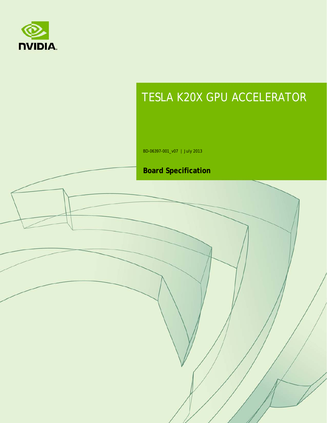

# TESLA K20X GPU ACCELERATOR

BD-06397-001\_v07 | July 2013

### **Board Specification**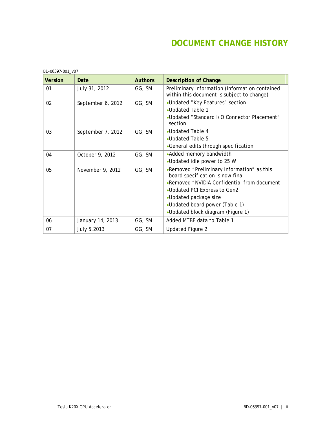### **DOCUMENT CHANGE HISTORY**

| BD-06397-001_v07 |                   |                |                                                                                              |  |
|------------------|-------------------|----------------|----------------------------------------------------------------------------------------------|--|
| <b>Version</b>   | Date              | <b>Authors</b> | <b>Description of Change</b>                                                                 |  |
| 01               | July 31, 2012     | GG, SM         | Preliminary Information (Information contained<br>within this document is subject to change) |  |
| 02               | September 6, 2012 | GG, SM         | •Updated "Key Features" section                                                              |  |
|                  |                   |                | •Updated Table 1                                                                             |  |
|                  |                   |                | •Updated "Standard I/O Connector Placement"<br>section                                       |  |
| 03               | September 7, 2012 | GG, SM         | •Updated Table 4                                                                             |  |
|                  |                   |                | •Updated Table 5                                                                             |  |
|                  |                   |                | •General edits through specification                                                         |  |
| 04               | October 9, 2012   | GG, SM         | • Added memory bandwidth                                                                     |  |
|                  |                   |                | •Updated idle power to 25 W                                                                  |  |
| 05               | November 9, 2012  | GG, SM         | .Removed "Preliminary Information" as this<br>board specification is now final               |  |
|                  |                   |                | •Removed "NVIDIA Confidential from document                                                  |  |
|                  |                   |                | •Updated PCI Express to Gen2                                                                 |  |
|                  |                   |                | •Updated package size                                                                        |  |
|                  |                   |                | •Updated board power (Table 1)                                                               |  |
|                  |                   |                | •Updated block diagram (Figure 1)                                                            |  |
| 06               | January 14, 2013  | GG, SM         | Added MTBF data to Table 1                                                                   |  |
| 07               | July 5.2013       | GG, SM         | <b>Updated Figure 2</b>                                                                      |  |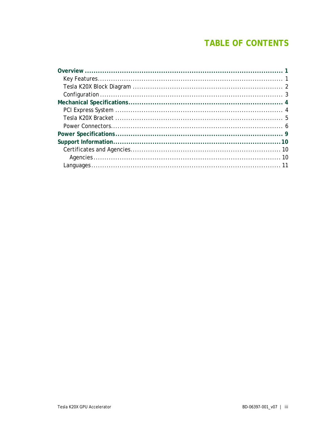## **TABLE OF CONTENTS**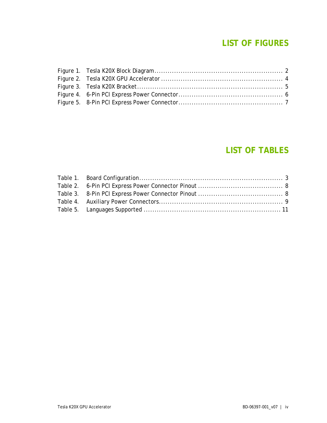### **LIST OF FIGURES**

#### **LIST OF TABLES**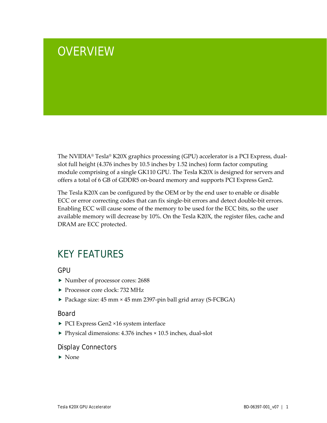# <span id="page-4-0"></span>**OVERVIEW**

The NVIDIA® Tesla® K20X graphics processing (GPU) accelerator is a PCI Express, dualslot full height (4.376 inches by 10.5 inches by 1.52 inches) form factor computing module comprising of a single GK110 GPU. The Tesla K20X is designed for servers and offers a total of 6 GB of GDDR5 on-board memory and supports PCI Express Gen2.

The Tesla K20X can be configured by the OEM or by the end user to enable or disable ECC or error correcting codes that can fix single-bit errors and detect double-bit errors. Enabling ECC will cause some of the memory to be used for the ECC bits, so the user available memory will decrease by 10%. On the Tesla K20X, the register files, cache and DRAM are ECC protected.

## <span id="page-4-1"></span>KEY FEATURES

**GPU** 

- ▶ Number of processor cores: 2688
- Processor core clock: 732 MHz
- ▶ Package size: 45 mm × 45 mm 2397-pin ball grid array (S-FCBGA)

#### Board

- ▶ PCI Express Gen2 ×16 system interface
- ▶ Physical dimensions: 4.376 inches × 10.5 inches, dual-slot

#### Display Connectors

 $\blacktriangleright$  None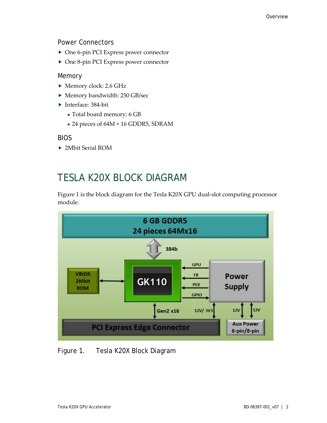Power Connectors

- ▶ One 6-pin PCI Express power connector
- ▶ One 8-pin PCI Express power connector

#### Memory

- Memory clock: 2.6 GHz
- Memory bandwidth: 250 GB/sec
- ▶ Interface: 384-bit
	- Total board memory: 6 GB
	- 24 pieces of 64M × 16 GDDR5, SDRAM

#### BIOS

<span id="page-5-0"></span>2Mbit Serial ROM

## TESLA K20X BLOCK DIAGRAM

Figure 1 is the block diagram for the Tesla K20X GPU dual-slot computing processor module.



#### <span id="page-5-1"></span>Figure 1. Tesla K20X Block Diagram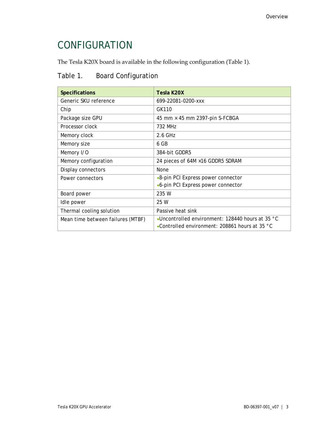## <span id="page-6-0"></span>CONFIGURATION

The Tesla K20X board is available in the following configuration (Table 1).

#### <span id="page-6-1"></span>Table 1. Board Configuration

| <b>Specifications</b>             | Tesla K20X                                                 |  |
|-----------------------------------|------------------------------------------------------------|--|
| Generic SKU reference             | 699-22081-0200-xxx                                         |  |
| Chip                              | GK110                                                      |  |
| Package size GPU                  | 45 mm × 45 mm 2397-pin S-FCBGA                             |  |
| Processor clock                   | 732 MHz                                                    |  |
| Memory clock                      | 2.6 GHz                                                    |  |
| Memory size                       | 6 GB                                                       |  |
| Memory I/O                        | 384-bit GDDR5                                              |  |
| Memory configuration              | 24 pieces of 64M × 16 GDDR5 SDRAM                          |  |
| Display connectors                | None                                                       |  |
| Power connectors                  | •8-pin PCI Express power connector                         |  |
|                                   | •6-pin PCI Express power connector                         |  |
| Board power                       | 235 W                                                      |  |
| Idle power                        | 25 W                                                       |  |
| Thermal cooling solution          | Passive heat sink                                          |  |
| Mean time between failures (MTBF) | •Uncontrolled environment: 128440 hours at 35 $^{\circ}$ C |  |
|                                   | •Controlled environment: 208861 hours at 35 °C             |  |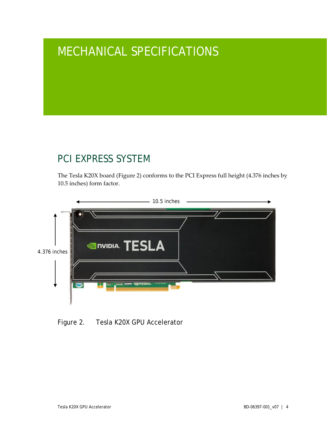# <span id="page-7-0"></span>MECHANICAL SPECIFICATIONS

## <span id="page-7-1"></span>PCI EXPRESS SYSTEM

The Tesla K20X board (Figure 2) conforms to the PCI Express full height (4.376 inches by 10.5 inches) form factor.

<span id="page-7-2"></span>

Figure 2. Tesla K20X GPU Accelerator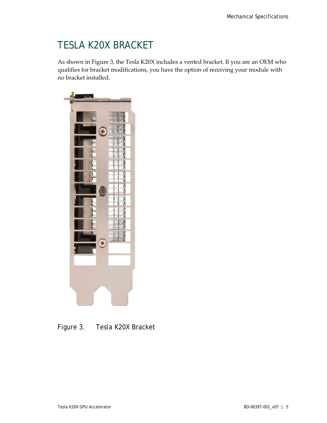## <span id="page-8-0"></span>TESLA K20X BRACKET

As shown in Figure 3, the Tesla K20X includes a vented bracket. If you are an OEM who qualifies for bracket modifications, you have the option of receiving your module with no bracket installed.

<span id="page-8-1"></span>

Figure 3. Tesla K20X Bracket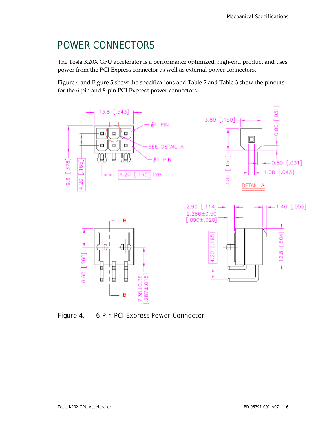## <span id="page-9-0"></span>POWER CONNECTORS

The Tesla K20X GPU accelerator is a performance optimized, high-end product and uses power from the PCI Express connector as well as external power connectors.

Figure 4 and Figure 5 show the specifications and Table 2 and Table 3 show the pinouts for the 6-pin and 8-pin PCI Express power connectors.



<span id="page-9-1"></span>Figure 4. 6-Pin PCI Express Power Connector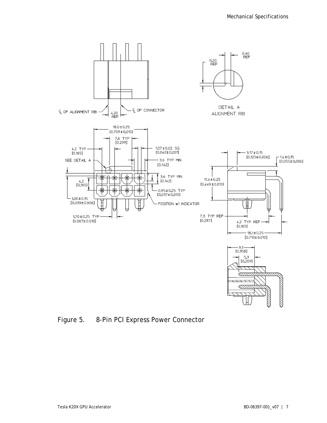

<span id="page-10-0"></span>Figure 5. 8-Pin PCI Express Power Connector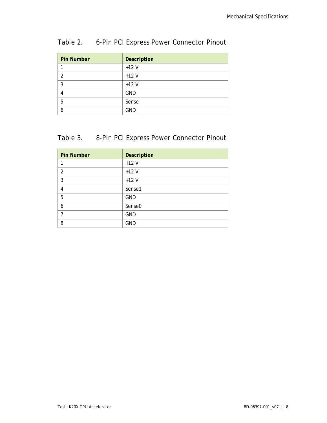| <b>Pin Number</b> | <b>Description</b> |
|-------------------|--------------------|
|                   | $+12V$             |
| $\mathcal{P}$     | $+12V$             |
| 3                 | $+12V$             |
|                   | <b>GND</b>         |
| 5                 | Sense              |
| 6                 | <b>GND</b>         |

#### <span id="page-11-0"></span>Table 2. 6-Pin PCI Express Power Connector Pinout

#### <span id="page-11-1"></span>Table 3. 8-Pin PCI Express Power Connector Pinout

| <b>Pin Number</b> | Description        |
|-------------------|--------------------|
|                   | $+12V$             |
| $\overline{2}$    | $+12V$             |
| 3                 | $+12V$             |
| 4                 | Sense1             |
| 5                 | <b>GND</b>         |
| 6                 | Sense <sub>0</sub> |
|                   | <b>GND</b>         |
| 8                 | <b>GND</b>         |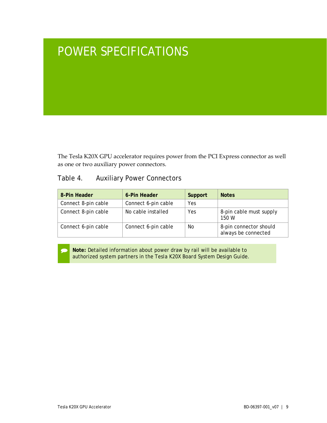# <span id="page-12-0"></span>POWER SPECIFICATIONS

The Tesla K20X GPU accelerator requires power from the PCI Express connector as well as one or two auxiliary power connectors.

#### <span id="page-12-1"></span>Table 4. Auxiliary Power Connectors

| 8-Pin Header        | 6-Pin Header        | Support | <b>Notes</b>                                  |
|---------------------|---------------------|---------|-----------------------------------------------|
| Connect 8-pin cable | Connect 6-pin cable | Yes     |                                               |
| Connect 8-pin cable | No cable installed  | Yes     | 8-pin cable must supply<br>150 W              |
| Connect 6-pin cable | Connect 6-pin cable | No      | 8-pin connector should<br>always be connected |

 **Note:** Detailed information about power draw by rail will be available to authorized system partners in the *Tesla K20X Board System Design Guide*.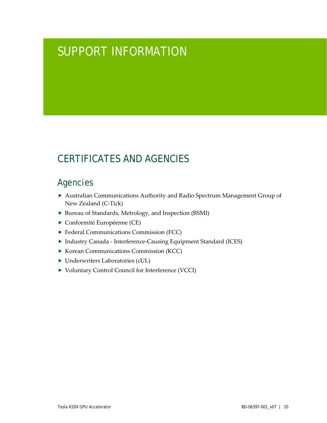# <span id="page-13-0"></span>SUPPORT INFORMATION

## <span id="page-13-1"></span>CERTIFICATES AND AGENCIES

#### <span id="page-13-2"></span>Agencies

- Australian Communications Authority and Radio Spectrum Management Group of New Zealand (C-Tick)
- ▶ Bureau of Standards, Metrology, and Inspection (BSMI)
- Conformité Européenne (CE)
- **Federal Communications Commission (FCC)**
- Industry Canada Interference-Causing Equipment Standard (ICES)
- ▶ Korean Communications Commission (KCC)
- Underwriters Laboratories (cUL)
- ▶ Voluntary Control Council for Interference (VCCI)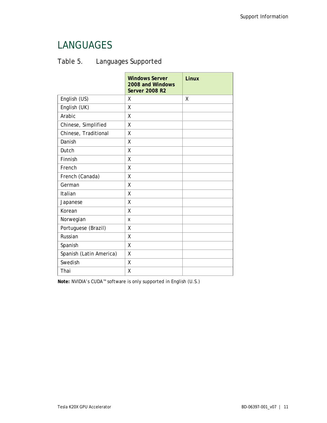## <span id="page-14-0"></span>LANGUAGES

<span id="page-14-1"></span>

| Table 5. | Languages Supported |
|----------|---------------------|
|----------|---------------------|

|                         | <b>Windows Server</b><br>2008 and Windows<br><b>Server 2008 R2</b> | Linux |
|-------------------------|--------------------------------------------------------------------|-------|
| English (US)            | X                                                                  | χ     |
| English (UK)            | χ                                                                  |       |
| Arabic                  | X                                                                  |       |
| Chinese, Simplified     | χ                                                                  |       |
| Chinese, Traditional    | χ                                                                  |       |
| Danish                  | χ                                                                  |       |
| Dutch                   | χ                                                                  |       |
| Finnish                 | X                                                                  |       |
| French                  | χ                                                                  |       |
| French (Canada)         | χ                                                                  |       |
| German                  | χ                                                                  |       |
| Italian                 | χ                                                                  |       |
| Japanese                | χ                                                                  |       |
| Korean                  | X                                                                  |       |
| Norwegian               | X                                                                  |       |
| Portuguese (Brazil)     | Χ                                                                  |       |
| Russian                 | X                                                                  |       |
| Spanish                 | χ                                                                  |       |
| Spanish (Latin America) | χ                                                                  |       |
| Swedish                 | Χ                                                                  |       |
| Thai                    | χ                                                                  |       |

**Note:** NVIDIA's CUDA™ software is only supported in English (U.S.)